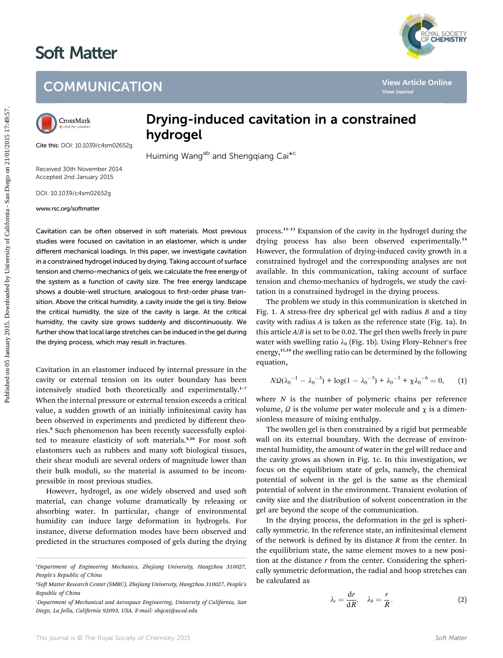# Soft Matter



## **COMMUNICATION**



Cite this: DOI: 10.1039/c4sm02652g

### Drying-induced cavitation in a constrained hydrogel

Huiming Wang<sup>ab</sup> and Shengqiang Cai<sup>\*c</sup>

Received 30th November 2014 Accepted 2nd January 2015

DOI: 10.1039/c4sm02652g

www.rsc.org/softmatter

Cavitation can be often observed in soft materials. Most previous studies were focused on cavitation in an elastomer, which is under different mechanical loadings. In this paper, we investigate cavitation in a constrained hydrogel induced by drying. Taking account of surface tension and chemo-mechanics of gels, we calculate the free energy of the system as a function of cavity size. The free energy landscape shows a double-well structure, analogous to first-order phase transition. Above the critical humidity, a cavity inside the gel is tiny. Below the critical humidity, the size of the cavity is large. At the critical humidity, the cavity size grows suddenly and discontinuously. We further show that local large stretches can be induced in the gel during the drying process, which may result in fractures. **COMMUNICATION**<br> **Purpling-induced cavitation in a constrained**<br> **Creating Constrained**<br> **Creating the California Creation**<br> **Exception 2015**<br> **Exception 2015**<br> **Exception 2015**<br> **Exception 2015**<br> **Exception 2015**<br> **Excep** 

Cavitation in an elastomer induced by internal pressure in the cavity or external tension on its outer boundary has been intensively studied both theoretically and experimentally.<sup>1-7</sup> When the internal pressure or external tension exceeds a critical value, a sudden growth of an initially infinitesimal cavity has been observed in experiments and predicted by different theories.<sup>8</sup> Such phenomenon has been recently successfully exploited to measure elasticity of soft materials.<sup>9,10</sup> For most soft elastomers such as rubbers and many soft biological tissues, their shear moduli are several orders of magnitude lower than their bulk moduli, so the material is assumed to be incompressible in most previous studies.

However, hydrogel, as one widely observed and used so material, can change volume dramatically by releasing or absorbing water. In particular, change of environmental humidity can induce large deformation in hydrogels. For instance, diverse deformation modes have been observed and predicted in the structures composed of gels during the drying process.<sup>11</sup>–<sup>13</sup> Expansion of the cavity in the hydrogel during the drying process has also been observed experimentally.<sup>14</sup> However, the formulation of drying-induced cavity growth in a constrained hydrogel and the corresponding analyses are not available. In this communication, taking account of surface tension and chemo-mechanics of hydrogels, we study the cavitation in a constrained hydrogel in the drying process.

The problem we study in this communication is sketched in Fig. 1. A stress-free dry spherical gel with radius  $B$  and a tiny cavity with radius A is taken as the reference state (Fig. 1a). In this article  $A/B$  is set to be 0.02. The gel then swells freely in pure water with swelling ratio  $\lambda_0$  (Fig. 1b). Using Flory-Rehner's free energy,<sup>15,16</sup> the swelling ratio can be determined by the following equation,

$$
N\Omega(\lambda_0^{-1} - \lambda_0^{-3}) + \log(1 - \lambda_0^{-3}) + \lambda_0^{-3} + \chi\lambda_0^{-6} = 0, \qquad (1)
$$

where  $N$  is the number of polymeric chains per reference volume,  $\Omega$  is the volume per water molecule and  $\chi$  is a dimensionless measure of mixing enthalpy.

The swollen gel is then constrained by a rigid but permeable wall on its external boundary. With the decrease of environmental humidity, the amount of water in the gel will reduce and the cavity grows as shown in Fig. 1c. In this investigation, we focus on the equilibrium state of gels, namely, the chemical potential of solvent in the gel is the same as the chemical potential of solvent in the environment. Transient evolution of cavity size and the distribution of solvent concentration in the gel are beyond the scope of the communication.

In the drying process, the deformation in the gel is spherically symmetric. In the reference state, an infinitesimal element of the network is defined by its distance  $R$  from the center. In the equilibrium state, the same element moves to a new position at the distance  $r$  from the center. Considering the spherically symmetric deformation, the radial and hoop stretches can be calculated as

$$
\lambda_{\rm r} = \frac{\mathrm{d}r}{\mathrm{d}R}, \quad \lambda_{\theta} = \frac{r}{R}.\tag{2}
$$

a Department of Engineering Mechanics, Zhejiang University, Hangzhou 310027, People's Republic of China

bSoft Matter Research Center (SMRC), Zhejiang University, Hangzhou 310027, People's Republic of China

Department of Mechanical and Aerospace Engineering, University of California, San Diego, La Jolla, California 92093, USA. E-mail: shqcai@ucsd.edu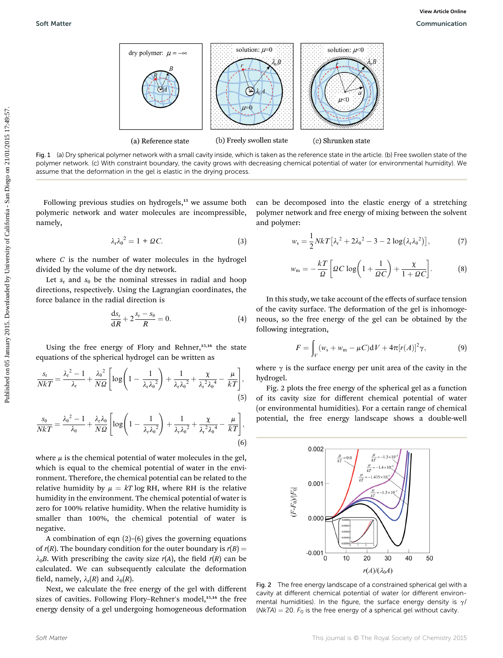

Fig. 1 (a) Dry spherical polymer network with a small cavity inside, which is taken as the reference state in the article. (b) Free swollen state of the polymer network. (c) With constraint boundary, the cavity grows with decreasing chemical potential of water (or environmental humidity). We assume that the deformation in the gel is elastic in the drying process.

Following previous studies on hydrogels,<sup>15</sup> we assume both polymeric network and water molecules are incompressible, namely,

$$
\lambda_{\rm r}\lambda_{\rm \theta}^2 = 1 + \mathcal{Q}C. \tag{3}
$$

where  $C$  is the number of water molecules in the hydrogel divided by the volume of the dry network.

Let  $s_r$  and  $s_\theta$  be the nominal stresses in radial and hoop directions, respectively. Using the Lagrangian coordinates, the force balance in the radial direction is

$$
\frac{\mathrm{d}s_{\mathrm{r}}}{\mathrm{d}R} + 2\frac{s_{\mathrm{r}} - s_{\theta}}{R} = 0. \tag{4}
$$

Using the free energy of Flory and Rehner, $15,16$  the state equations of the spherical hydrogel can be written as

$$
\frac{s_r}{NkT} = \frac{\lambda_r^2 - 1}{\lambda_r} + \frac{\lambda_\theta^2}{N\Omega} \left[ \log \left( 1 - \frac{1}{\lambda_r \lambda_\theta^2} \right) + \frac{1}{\lambda_r \lambda_\theta^2} + \frac{\chi}{\lambda_r^2 \lambda_\theta^4} - \frac{\mu}{kT} \right],\tag{5}
$$

$$
\frac{s_{\theta}}{NkT} = \frac{\lambda_{\theta}^2 - 1}{\lambda_{\theta}} + \frac{\lambda_{r}\lambda_{\theta}}{N\Omega} \left[ \log \left( 1 - \frac{1}{\lambda_{r}\lambda_{\theta}^2} \right) + \frac{1}{\lambda_{r}\lambda_{\theta}^2} + \frac{\chi}{\lambda_{r}^2\lambda_{\theta}^4} - \frac{\mu}{kT} \right],
$$
\n(6)

where  $\mu$  is the chemical potential of water molecules in the gel, which is equal to the chemical potential of water in the environment. Therefore, the chemical potential can be related to the relative humidity by  $\mu = kT \log RH$ , where RH is the relative humidity in the environment. The chemical potential of water is zero for 100% relative humidity. When the relative humidity is smaller than 100%, the chemical potential of water is negative.

A combination of eqn (2)–(6) gives the governing equations of  $r(R)$ . The boundary condition for the outer boundary is  $r(B)$  =  $\lambda_0$ B. With prescribing the cavity size r(A), the field r(R) can be calculated. We can subsequently calculate the deformation field, namely,  $\lambda_r(R)$  and  $\lambda_{\theta}(R)$ .

Next, we calculate the free energy of the gel with different sizes of cavities. Following Flory-Rehner's model,<sup>15,16</sup> the free energy density of a gel undergoing homogeneous deformation

can be decomposed into the elastic energy of a stretching polymer network and free energy of mixing between the solvent and polymer:

$$
w_{s} = \frac{1}{2} NkT \left[ \lambda_{r}^{2} + 2\lambda_{\theta}^{2} - 3 - 2\log(\lambda_{r}\lambda_{\theta}^{2}) \right],
$$
 (7)

$$
w_{\rm m} = -\frac{kT}{\Omega} \left[ \Omega C \log \left( 1 + \frac{1}{\Omega C} \right) + \frac{\chi}{1 + \Omega C} \right].
$$
 (8)

In this study, we take account of the effects of surface tension of the cavity surface. The deformation of the gel is inhomogeneous, so the free energy of the gel can be obtained by the following integration,

$$
F = \int_{V} (w_{\rm s} + w_{\rm m} - \mu C) dV + 4\pi [r(A)]^2 \gamma,
$$
 (9)

where  $\gamma$  is the surface energy per unit area of the cavity in the hydrogel.

Fig. 2 plots the free energy of the spherical gel as a function of its cavity size for different chemical potential of water (or environmental humidities). For a certain range of chemical potential, the free energy landscape shows a double-well



Fig. 2 The free energy landscape of a constrained spherical gel with a cavity at different chemical potential of water (or different environmental humidities). In the figure, the surface energy density is  $\gamma$ / (NkTA) = 20.  $F_0$  is the free energy of a spherical gel without cavity.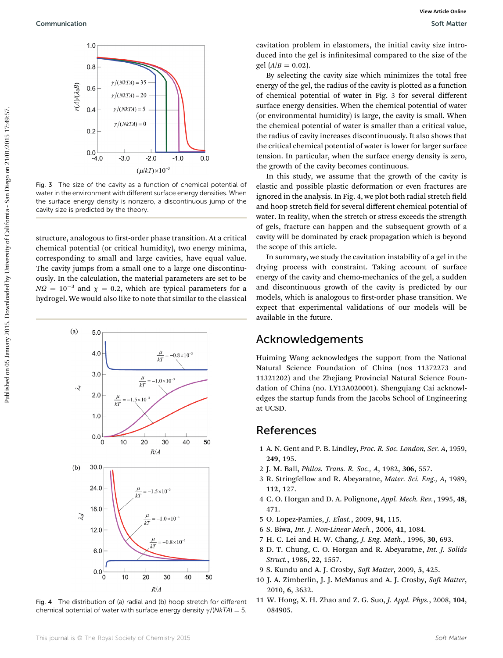

Fig. 3 The size of the cavity as a function of chemical potential of water in the environment with different surface energy densities. When the surface energy density is nonzero, a discontinuous jump of the cavity size is predicted by the theory.

structure, analogous to first-order phase transition. At a critical chemical potential (or critical humidity), two energy minima, corresponding to small and large cavities, have equal value. The cavity jumps from a small one to a large one discontinuously. In the calculation, the material parameters are set to be  $NQ = 10^{-3}$  and  $\chi = 0.2$ , which are typical parameters for a hydrogel. We would also like to note that similar to the classical



Fig. 4 The distribution of (a) radial and (b) hoop stretch for different chemical potential of water with surface energy density  $\gamma/(NkTA) = 5$ .

cavitation problem in elastomers, the initial cavity size introduced into the gel is infinitesimal compared to the size of the gel  $(A/B = 0.02)$ .

By selecting the cavity size which minimizes the total free energy of the gel, the radius of the cavity is plotted as a function of chemical potential of water in Fig. 3 for several different surface energy densities. When the chemical potential of water (or environmental humidity) is large, the cavity is small. When the chemical potential of water is smaller than a critical value, the radius of cavity increases discontinuously. It also shows that the critical chemical potential of water is lower for larger surface tension. In particular, when the surface energy density is zero, the growth of the cavity becomes continuous.

In this study, we assume that the growth of the cavity is elastic and possible plastic deformation or even fractures are ignored in the analysis. In Fig. 4, we plot both radial stretch field and hoop stretch field for several different chemical potential of water. In reality, when the stretch or stress exceeds the strength of gels, fracture can happen and the subsequent growth of a cavity will be dominated by crack propagation which is beyond the scope of this article.

In summary, we study the cavitation instability of a gel in the drying process with constraint. Taking account of surface energy of the cavity and chemo-mechanics of the gel, a sudden and discontinuous growth of the cavity is predicted by our models, which is analogous to first-order phase transition. We expect that experimental validations of our models will be available in the future.

#### Acknowledgements

Huiming Wang acknowledges the support from the National Natural Science Foundation of China (nos 11372273 and 11321202) and the Zhejiang Provincial Natural Science Foundation of China (no. LY13A020001). Shengqiang Cai acknowledges the startup funds from the Jacobs School of Engineering at UCSD.

#### References

- 1 A. N. Gent and P. B. Lindley, Proc. R. Soc. London, Ser. A, 1959, 249, 195.
- 2 J. M. Ball, Philos. Trans. R. Soc., A, 1982, 306, 557.
- 3 R. Stringfellow and R. Abeyaratne, Mater. Sci. Eng., A, 1989, 112, 127.
- 4 C. O. Horgan and D. A. Polignone, Appl. Mech. Rev., 1995, 48, 471.
- 5 O. Lopez-Pamies, J. Elast., 2009, 94, 115.
- 6 S. Biwa, Int. J. Non-Linear Mech., 2006, 41, 1084.
- 7 H. C. Lei and H. W. Chang, J. Eng. Math., 1996, 30, 693.
- 8 D. T. Chung, C. O. Horgan and R. Abeyaratne, Int. J. Solids Struct., 1986, 22, 1557.
- 9 S. Kundu and A. J. Crosby, Soft Matter, 2009, 5, 425.
- 10 J. A. Zimberlin, J. J. McManus and A. J. Crosby, Soft Matter, 2010, 6, 3632.
- 11 W. Hong, X. H. Zhao and Z. G. Suo, J. Appl. Phys., 2008, 104, 084905.